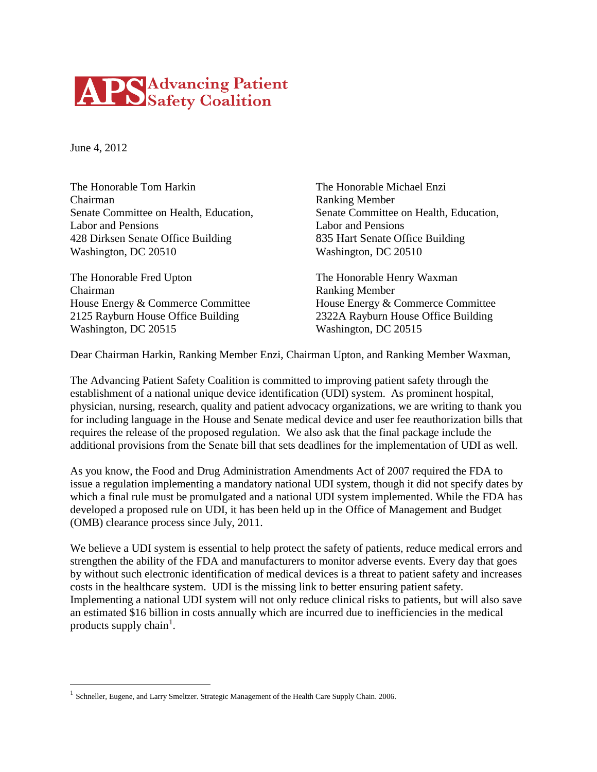## **APS** Advancing Patient

June 4, 2012

The Honorable Tom Harkin The Honorable Michael Enzi Chairman Ranking Member Labor and Pensions Labor and Pensions 428 Dirksen Senate Office Building 835 Hart Senate Office Building Washington, DC 20510 Washington, DC 20510

The Honorable Fred Upton The Honorable Henry Waxman Chairman Ranking Member House Energy & Commerce Committee House Energy & Commerce Committee 2125 Rayburn House Office Building 2322A Rayburn House Office Building Washington, DC 20515 Washington, DC 20515

Senate Committee on Health, Education, Senate Committee on Health, Education,

Dear Chairman Harkin, Ranking Member Enzi, Chairman Upton, and Ranking Member Waxman,

The Advancing Patient Safety Coalition is committed to improving patient safety through the establishment of a national unique device identification (UDI) system. As prominent hospital, physician, nursing, research, quality and patient advocacy organizations, we are writing to thank you for including language in the House and Senate medical device and user fee reauthorization bills that requires the release of the proposed regulation. We also ask that the final package include the additional provisions from the Senate bill that sets deadlines for the implementation of UDI as well.

As you know, the Food and Drug Administration Amendments Act of 2007 required the FDA to issue a regulation implementing a mandatory national UDI system, though it did not specify dates by which a final rule must be promulgated and a national UDI system implemented. While the FDA has developed a proposed rule on UDI, it has been held up in the Office of Management and Budget (OMB) clearance process since July, 2011.

We believe a UDI system is essential to help protect the safety of patients, reduce medical errors and strengthen the ability of the FDA and manufacturers to monitor adverse events. Every day that goes by without such electronic identification of medical devices is a threat to patient safety and increases costs in the healthcare system. UDI is the missing link to better ensuring patient safety. Implementing a national UDI system will not only reduce clinical risks to patients, but will also save an estimated \$16 billion in costs annually which are incurred due to inefficiencies in the medical products supply chain<sup>[1](#page-1-0)</sup>.

<sup>&</sup>lt;sup>1</sup> Schneller, Eugene, and Larry Smeltzer. Strategic Management of the Health Care Supply Chain. 2006.